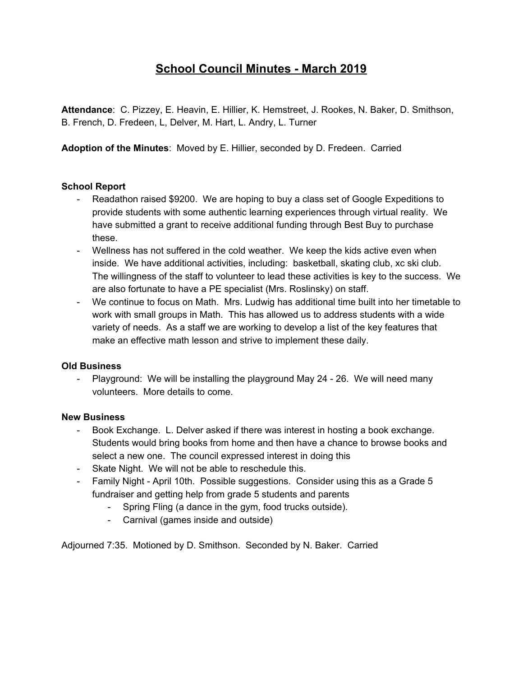# **School Council Minutes - March 2019**

**Attendance**: C. Pizzey, E. Heavin, E. Hillier, K. Hemstreet, J. Rookes, N. Baker, D. Smithson, B. French, D. Fredeen, L, Delver, M. Hart, L. Andry, L. Turner

**Adoption of the Minutes**: Moved by E. Hillier, seconded by D. Fredeen. Carried

## **School Report**

- Readathon raised \$9200. We are hoping to buy a class set of Google Expeditions to provide students with some authentic learning experiences through virtual reality. We have submitted a grant to receive additional funding through Best Buy to purchase these.
- Wellness has not suffered in the cold weather. We keep the kids active even when inside. We have additional activities, including: basketball, skating club, xc ski club. The willingness of the staff to volunteer to lead these activities is key to the success. We are also fortunate to have a PE specialist (Mrs. Roslinsky) on staff.
- We continue to focus on Math. Mrs. Ludwig has additional time built into her timetable to work with small groups in Math. This has allowed us to address students with a wide variety of needs. As a staff we are working to develop a list of the key features that make an effective math lesson and strive to implement these daily.

#### **Old Business**

- Playground: We will be installing the playground May 24 - 26. We will need many volunteers. More details to come.

#### **New Business**

- Book Exchange. L. Delver asked if there was interest in hosting a book exchange. Students would bring books from home and then have a chance to browse books and select a new one. The council expressed interest in doing this
- Skate Night. We will not be able to reschedule this.
- Family Night April 10th. Possible suggestions. Consider using this as a Grade 5 fundraiser and getting help from grade 5 students and parents
	- Spring Fling (a dance in the gym, food trucks outside).
	- Carnival (games inside and outside)

Adjourned 7:35. Motioned by D. Smithson. Seconded by N. Baker. Carried